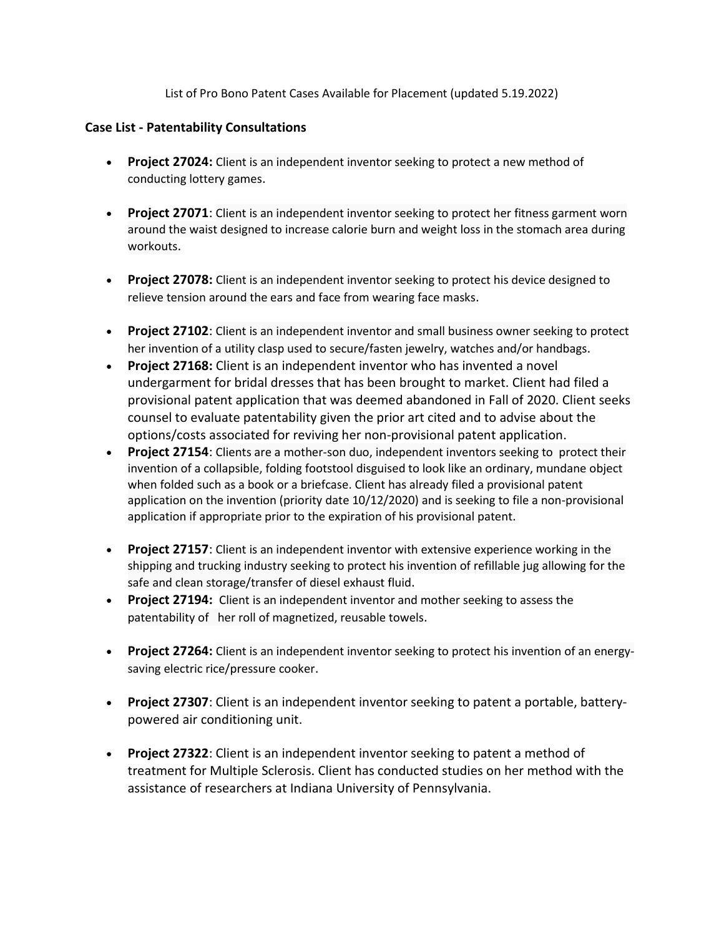List of Pro Bono Patent Cases Available for Placement (updated 5.19.2022)

## **Case List - Patentability Consultations**

- **Project 27024:** Client is an independent inventor seeking to protect a new method of conducting lottery games.
- **Project 27071**: Client is an independent inventor seeking to protect her fitness garment worn around the waist designed to increase calorie burn and weight loss in the stomach area during workouts.
- **Project 27078:** Client is an independent inventor seeking to protect his device designed to relieve tension around the ears and face from wearing face masks.
- **Project 27102**: Client is an independent inventor and small business owner seeking to protect her invention of a utility clasp used to secure/fasten jewelry, watches and/or handbags.
- **Project 27168:** Client is an independent inventor who has invented a novel undergarment for bridal dresses that has been brought to market. Client had filed a provisional patent application that was deemed abandoned in Fall of 2020. Client seeks counsel to evaluate patentability given the prior art cited and to advise about the options/costs associated for reviving her non-provisional patent application.
- **Project 27154**: Clients are a mother-son duo, independent inventors seeking to protect their invention of a collapsible, folding footstool disguised to look like an ordinary, mundane object when folded such as a book or a briefcase. Client has already filed a provisional patent application on the invention (priority date 10/12/2020) and is seeking to file a non-provisional application if appropriate prior to the expiration of his provisional patent.
- **Project 27157**: Client is an independent inventor with extensive experience working in the shipping and trucking industry seeking to protect his invention of refillable jug allowing for the safe and clean storage/transfer of diesel exhaust fluid.
- **Project 27194:** Client is an independent inventor and mother seeking to assess the patentability of her roll of magnetized, reusable towels.
- **Project 27264:** Client is an independent inventor seeking to protect his invention of an energysaving electric rice/pressure cooker.
- **Project 27307**: Client is an independent inventor seeking to patent a portable, batterypowered air conditioning unit.
- **Project 27322**: Client is an independent inventor seeking to patent a method of treatment for Multiple Sclerosis. Client has conducted studies on her method with the assistance of researchers at Indiana University of Pennsylvania.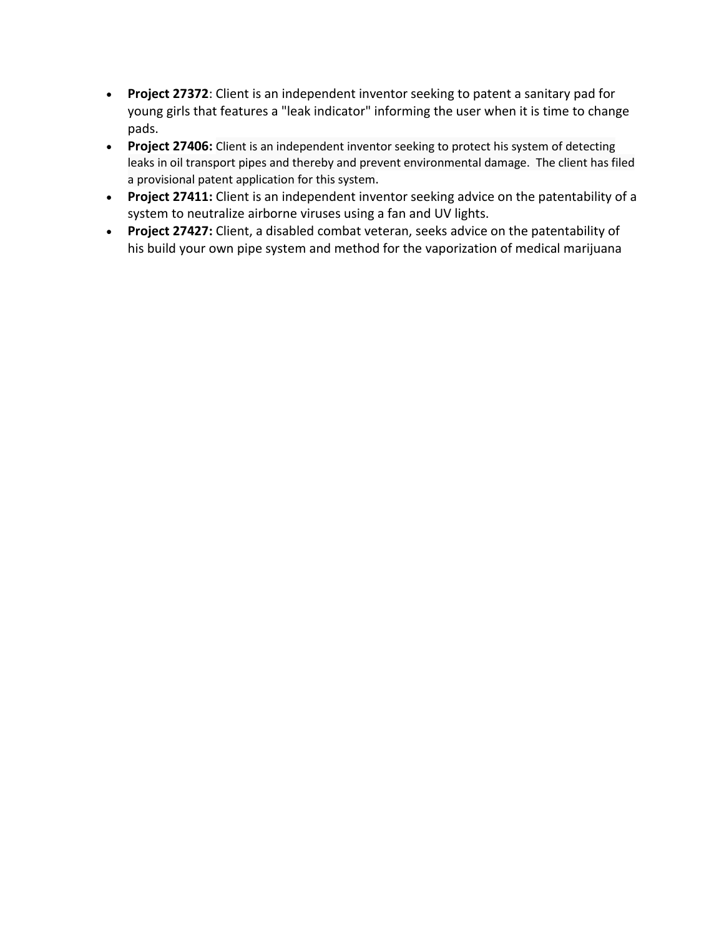- **Project 27372**: Client is an independent inventor seeking to patent a sanitary pad for young girls that features a "leak indicator" informing the user when it is time to change pads.
- **Project 27406:** Client is an independent inventor seeking to protect his system of detecting leaks in oil transport pipes and thereby and prevent environmental damage. The client has filed a provisional patent application for this system.
- **Project 27411:** Client is an independent inventor seeking advice on the patentability of a system to neutralize airborne viruses using a fan and UV lights.
- **Project 27427:** Client, a disabled combat veteran, seeks advice on the patentability of his build your own pipe system and method for the vaporization of medical marijuana